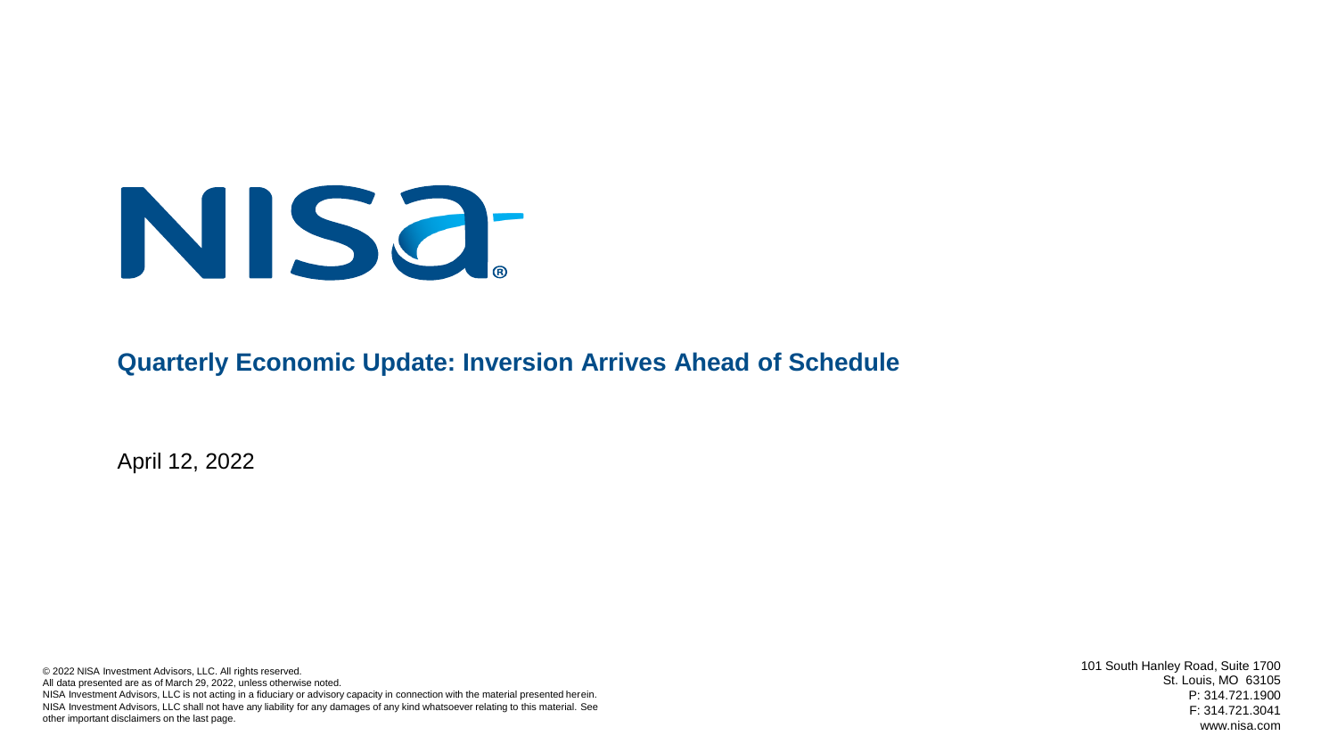

#### **Quarterly Economic Update: Inversion Arrives Ahead of Schedule**

April 12, 2022

© 2022 NISA Investment Advisors, LLC. All rights reserved. All data presented are as of March 29, 2022, unless otherwise noted. NISA Investment Advisors, LLC is not acting in a fiduciary or advisory capacity in connection with the material presented herein. NISA Investment Advisors, LLC shall not have any liability for any damages of any kind whatsoever relating to this material. See other important disclaimers on the last page.

101 South Hanley Road, Suite 1700 St. Louis, MO 63105 P: 314.721.1900 F: 314.721.3041 www.nisa.com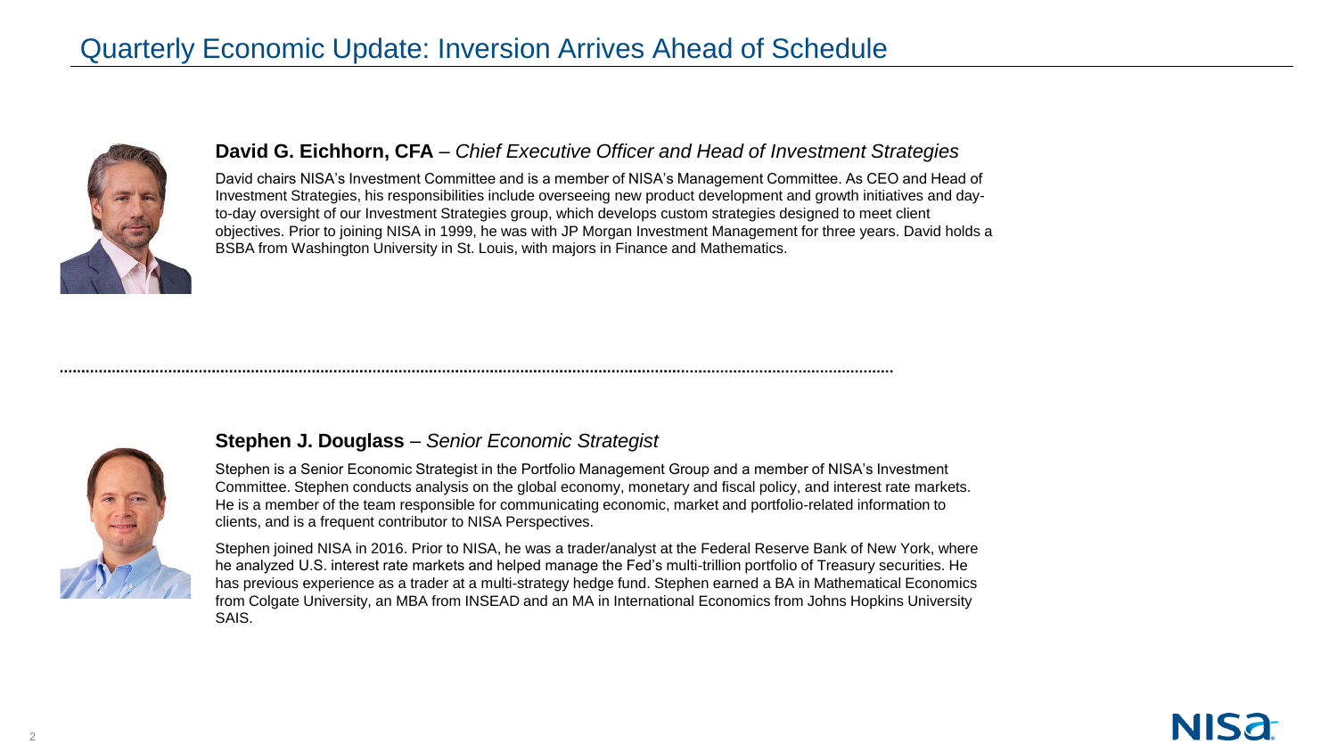# Quarterly Economic Update: Inversion Arrives Ahead of Schedule



#### **David G. Eichhorn, CFA** – *Chief Executive Officer and Head of Investment Strategies*

David chairs NISA's Investment Committee and is a member of NISA's Management Committee. As CEO and Head of Investment Strategies, his responsibilities include overseeing new product development and growth initiatives and dayto-day oversight of our Investment Strategies group, which develops custom strategies designed to meet client objectives. Prior to joining NISA in 1999, he was with JP Morgan Investment Management for three years. David holds a BSBA from Washington University in St. Louis, with majors in Finance and Mathematics.



#### **Stephen J. Douglass** *– Senior Economic Strategist*

Stephen is a Senior Economic Strategist in the Portfolio Management Group and a member of NISA's Investment Committee. Stephen conducts analysis on the global economy, monetary and fiscal policy, and interest rate markets. He is a member of the team responsible for communicating economic, market and portfolio-related information to clients, and is a frequent contributor to NISA Perspectives.

Stephen joined NISA in 2016. Prior to NISA, he was a trader/analyst at the Federal Reserve Bank of New York, where he analyzed U.S. interest rate markets and helped manage the Fed's multi-trillion portfolio of Treasury securities. He has previous experience as a trader at a multi-strategy hedge fund. Stephen earned a BA in Mathematical Economics from Colgate University, an MBA from INSEAD and an MA in International Economics from Johns Hopkins University SAIS.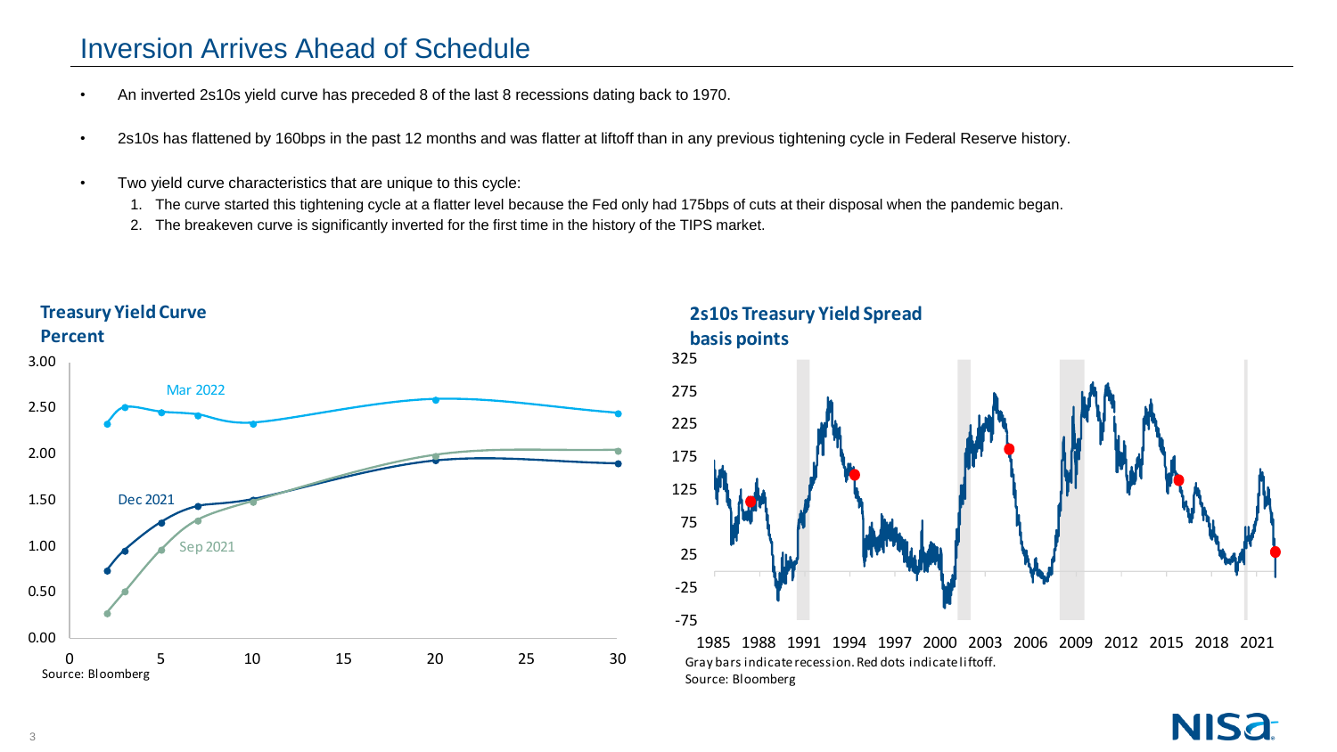### Inversion Arrives Ahead of Schedule

- An inverted 2s10s yield curve has preceded 8 of the last 8 recessions dating back to 1970.
- 2s10s has flattened by 160bps in the past 12 months and was flatter at liftoff than in any previous tightening cycle in Federal Reserve history.
- Two yield curve characteristics that are unique to this cycle:
	- 1. The curve started this tightening cycle at a flatter level because the Fed only had 175bps of cuts at their disposal when the pandemic began.
	- 2. The breakeven curve is significantly inverted for the first time in the history of the TIPS market.



**2s10s Treasury Yield Spread basis points**



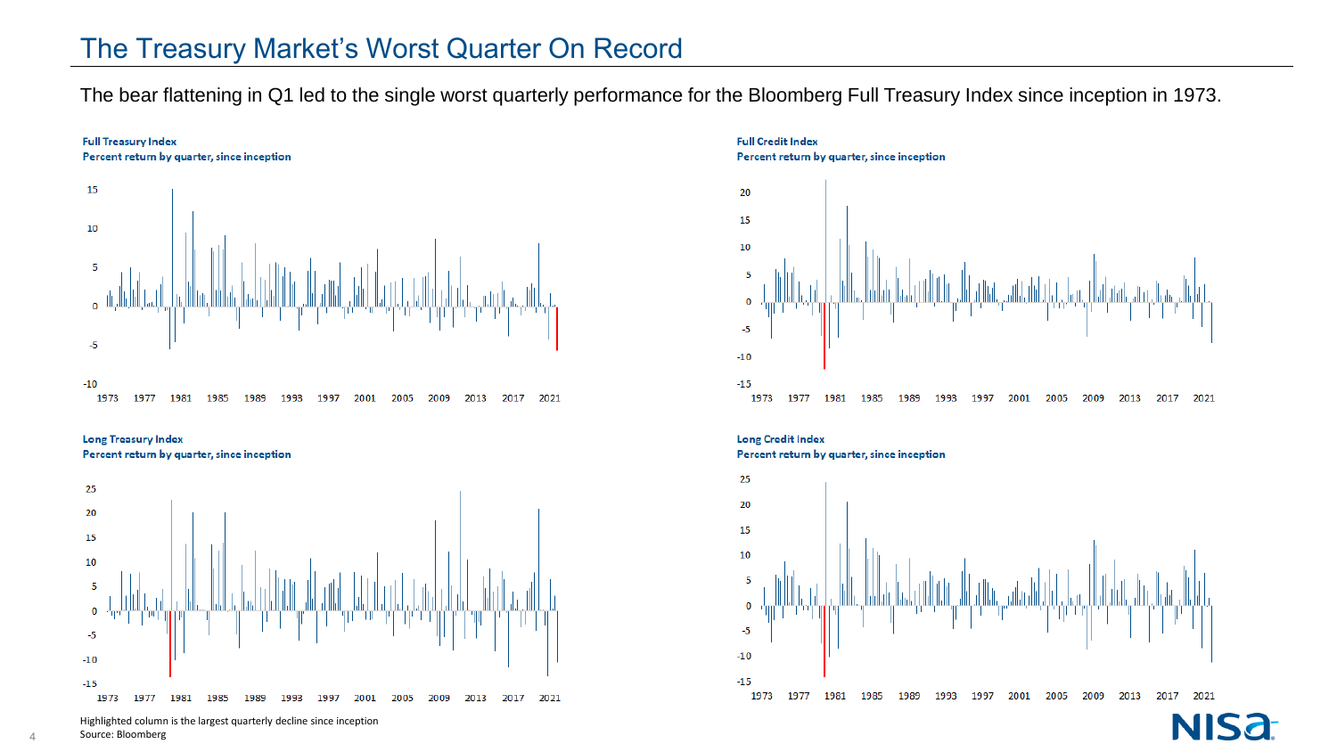#### The Treasury Market's Worst Quarter On Record

The bear flattening in Q1 led to the single worst quarterly performance for the Bloomberg Full Treasury Index since inception in 1973.



**Long Treasury Index** Percent return by quarter, since inception



**Full Credit Index** Percent return by quarter, since inception 20



**Long Credit Index** Percent return by quarter, since inception



Highlighted column is the largest quarterly decline since inception

4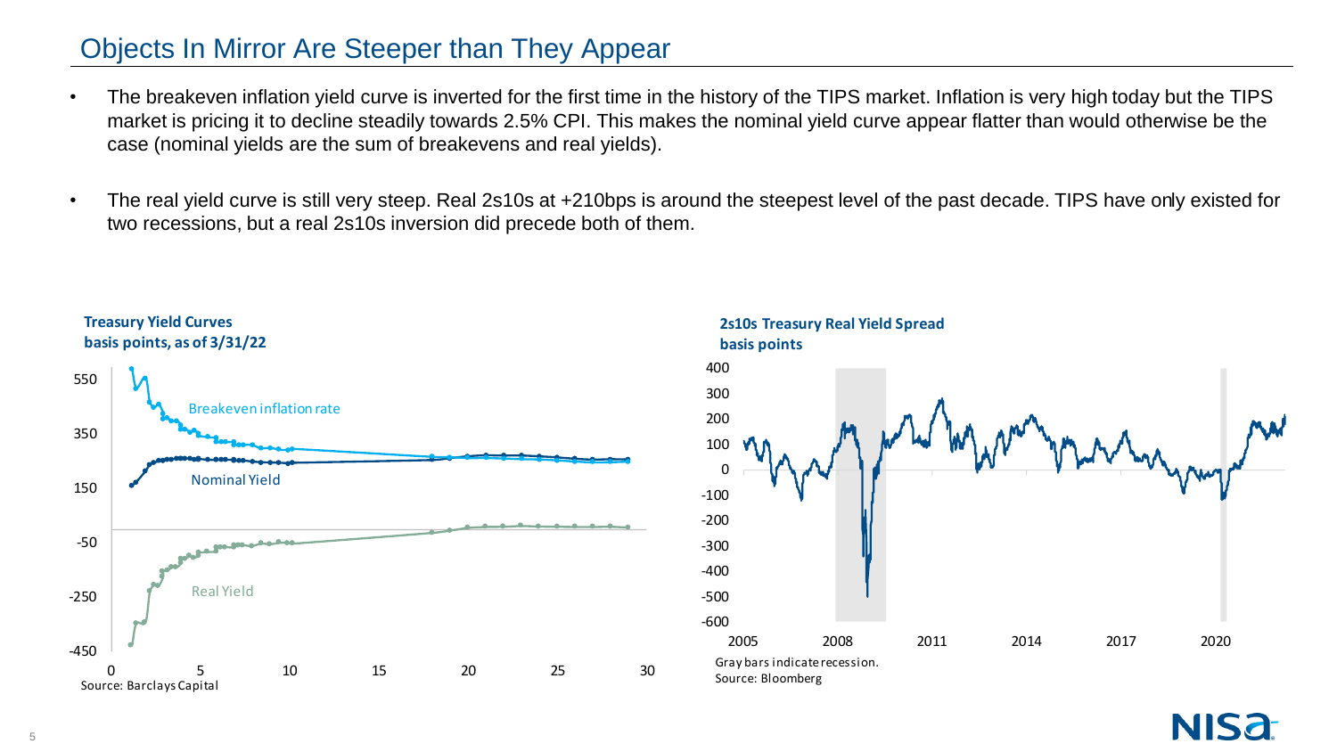### Objects In Mirror Are Steeper than They Appear

- The breakeven inflation yield curve is inverted for the first time in the history of the TIPS market. Inflation is very high today but the TIPS market is pricing it to decline steadily towards 2.5% CPI. This makes the nominal yield curve appear flatter than would otherwise be the case (nominal yields are the sum of breakevens and real yields).
- The real yield curve is still very steep. Real 2s10s at +210bps is around the steepest level of the past decade. TIPS have only existed for two recessions, but a real 2s10s inversion did precede both of them.





#### **Treasury Yield Curves basis points, as of 3/31/22**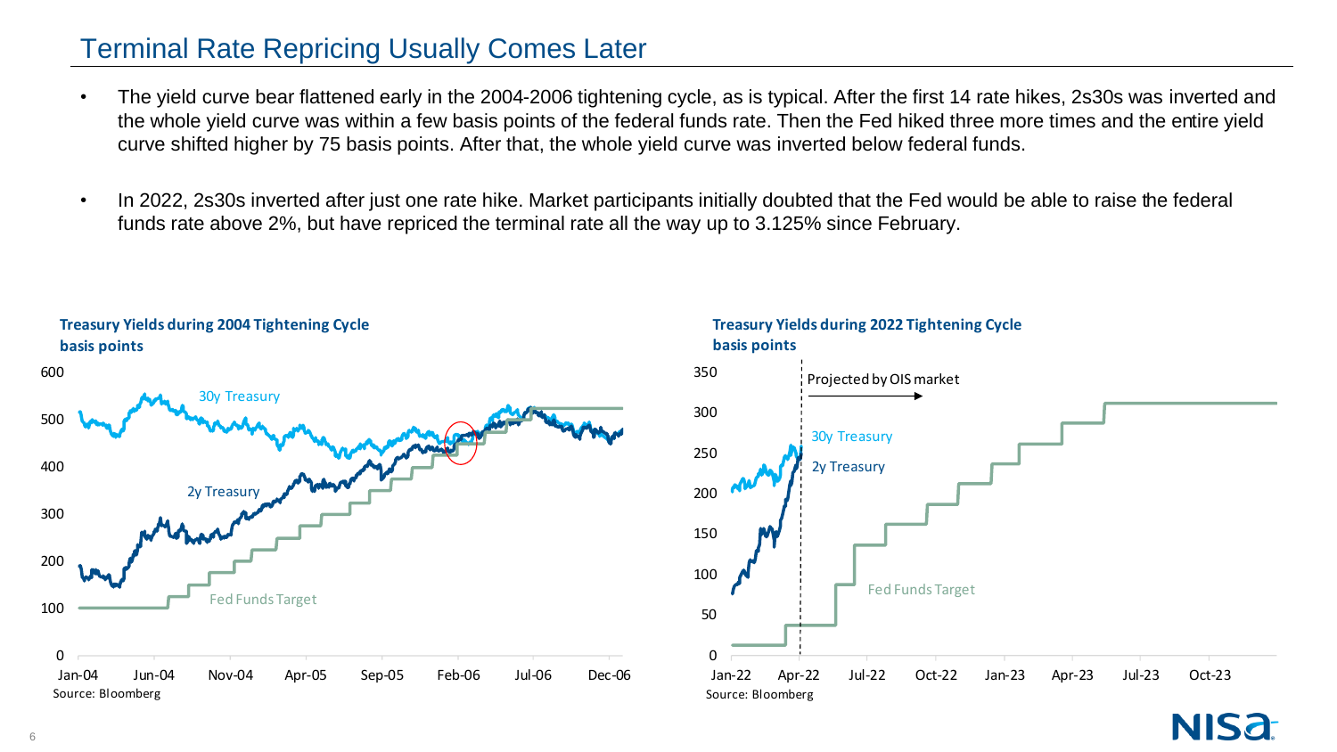#### Terminal Rate Repricing Usually Comes Later

- The yield curve bear flattened early in the 2004-2006 tightening cycle, as is typical. After the first 14 rate hikes, 2s30s was inverted and the whole yield curve was within a few basis points of the federal funds rate. Then the Fed hiked three more times and the entire yield curve shifted higher by 75 basis points. After that, the whole yield curve was inverted below federal funds.
- In 2022, 2s30s inverted after just one rate hike. Market participants initially doubted that the Fed would be able to raise the federal funds rate above 2%, but have repriced the terminal rate all the way up to 3.125% since February.





#### **Treasury Yields during 2022 Tightening Cycle basis points**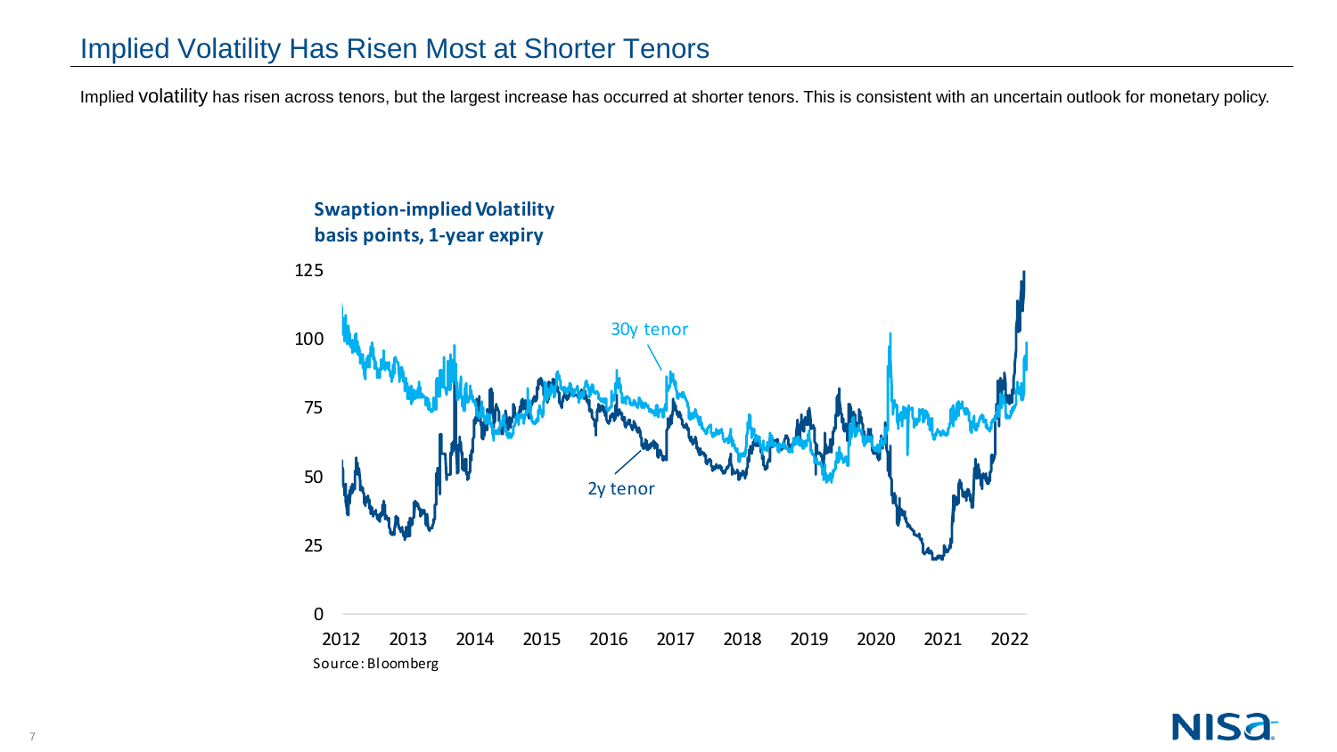## Implied Volatility Has Risen Most at Shorter Tenors

Implied volatility has risen across tenors, but the largest increase has occurred at shorter tenors. This is consistent with an uncertain outlook for monetary policy.



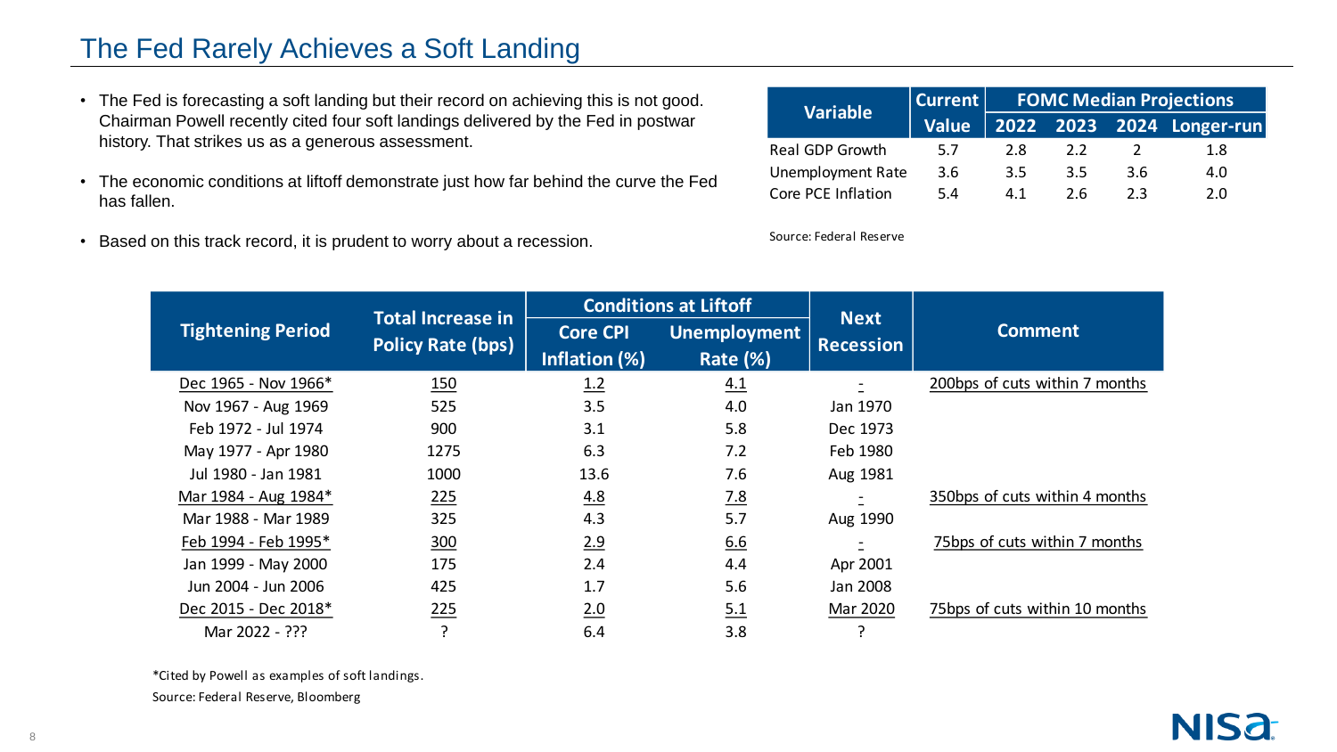## The Fed Rarely Achieves a Soft Landing

- The Fed is forecasting a soft landing but their record on achieving this is not good. Chairman Powell recently cited four soft landings delivered by the Fed in postwar history. That strikes us as a generous assessment.
- The economic conditions at liftoff demonstrate just how far behind the curve the Fed has fallen.
- Based on this track record, it is prudent to worry about a recession.

| <b>Variable</b>          | Current      | <b>FOMC Median Projections</b> |     |     |                           |  |  |
|--------------------------|--------------|--------------------------------|-----|-----|---------------------------|--|--|
|                          | <b>Value</b> |                                |     |     | 2022 2023 2024 Longer-run |  |  |
| Real GDP Growth          | 5.7          | 2.8                            | 22  |     | 1.8                       |  |  |
| <b>Unemployment Rate</b> | 3.6          | 3.5                            | 3.5 | 3.6 | 4.0                       |  |  |
| Core PCE Inflation       | 5.4          | 41                             | 26  | 2.3 | 2.0                       |  |  |

Source: Federal Reserve

|                          | <b>Total Increase in</b> |                 | <b>Conditions at Liftoff</b> | <b>Next</b>      | <b>Comment</b>                 |
|--------------------------|--------------------------|-----------------|------------------------------|------------------|--------------------------------|
| <b>Tightening Period</b> | <b>Policy Rate (bps)</b> | <b>Core CPI</b> | <b>Unemployment</b>          | <b>Recession</b> |                                |
|                          |                          | Inflation (%)   | <b>Rate (%)</b>              |                  |                                |
| Dec 1965 - Nov 1966*     | <u>150</u>               | 1.2             | 4.1                          |                  | 200bps of cuts within 7 months |
| Nov 1967 - Aug 1969      | 525                      | 3.5             | 4.0                          | Jan 1970         |                                |
| Feb 1972 - Jul 1974      | 900                      | 3.1             | 5.8                          | Dec 1973         |                                |
| May 1977 - Apr 1980      | 1275                     | 6.3             | 7.2                          | Feb 1980         |                                |
| Jul 1980 - Jan 1981      | 1000                     | 13.6            | 7.6                          | Aug 1981         |                                |
| Mar 1984 - Aug 1984*     | 225                      | 4.8             | <u>7.8</u>                   | $\equiv$         | 350bps of cuts within 4 months |
| Mar 1988 - Mar 1989      | 325                      | 4.3             | 5.7                          | Aug 1990         |                                |
| Feb 1994 - Feb 1995*     | 300                      | 2.9             | 6.6                          |                  | 75bps of cuts within 7 months  |
| Jan 1999 - May 2000      | 175                      | 2.4             | 4.4                          | Apr 2001         |                                |
| Jun 2004 - Jun 2006      | 425                      | 1.7             | 5.6                          | Jan 2008         |                                |
| Dec 2015 - Dec 2018*     | 225                      | 2.0             | 5.1                          | Mar 2020         | 75bps of cuts within 10 months |
| Mar 2022 - ???           |                          | 6.4             | 3.8                          |                  |                                |

\*Cited by Powell as examples of soft landings. Source: Federal Reserve, Bloomberg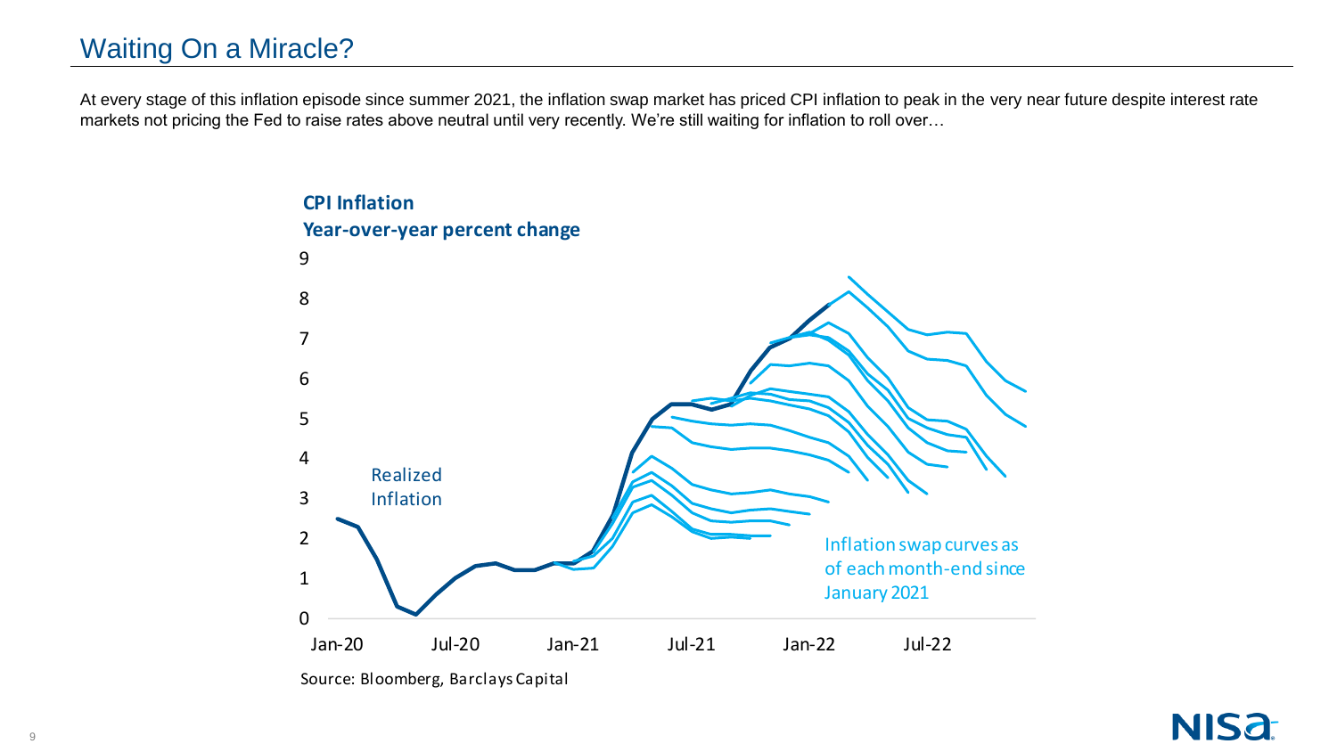# Waiting On a Miracle?

At every stage of this inflation episode since summer 2021, the inflation swap market has priced CPI inflation to peak in the very near future despite interest rate markets not pricing the Fed to raise rates above neutral until very recently. We're still waiting for inflation to roll over…



Source: Bloomberg, Barclays Capital

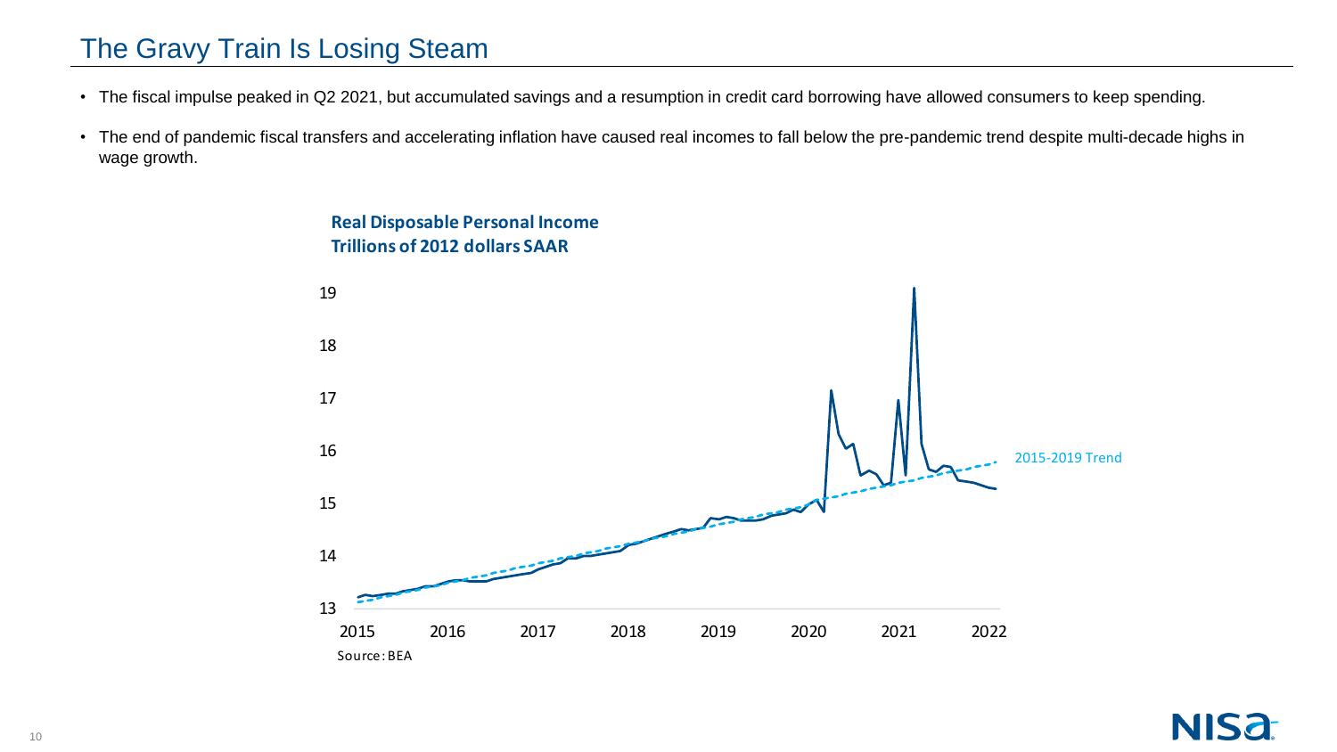# The Gravy Train Is Losing Steam

- The fiscal impulse peaked in Q2 2021, but accumulated savings and a resumption in credit card borrowing have allowed consumers to keep spending.
- The end of pandemic fiscal transfers and accelerating inflation have caused real incomes to fall below the pre-pandemic trend despite multi-decade highs in wage growth.



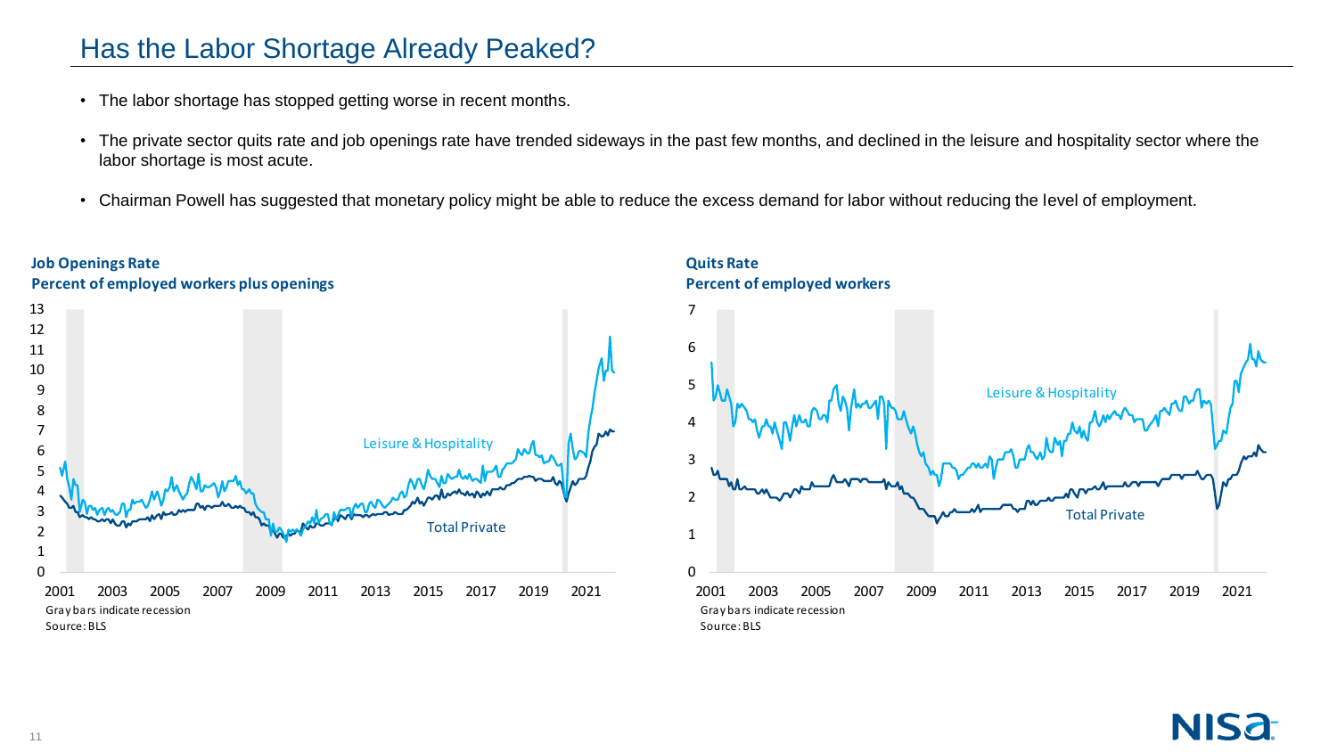## Has the Labor Shortage Already Peaked?

- The labor shortage has stopped getting worse in recent months.
- The private sector quits rate and job openings rate have trended sideways in the past few months, and declined in the leisure and hospitality sector where the labor shortage is most acute.
- Chairman Powell has suggested that monetary policy might be able to reduce the excess demand for labor without reducing the level of employment.



#### **Quits Rate Percent of employed workers**



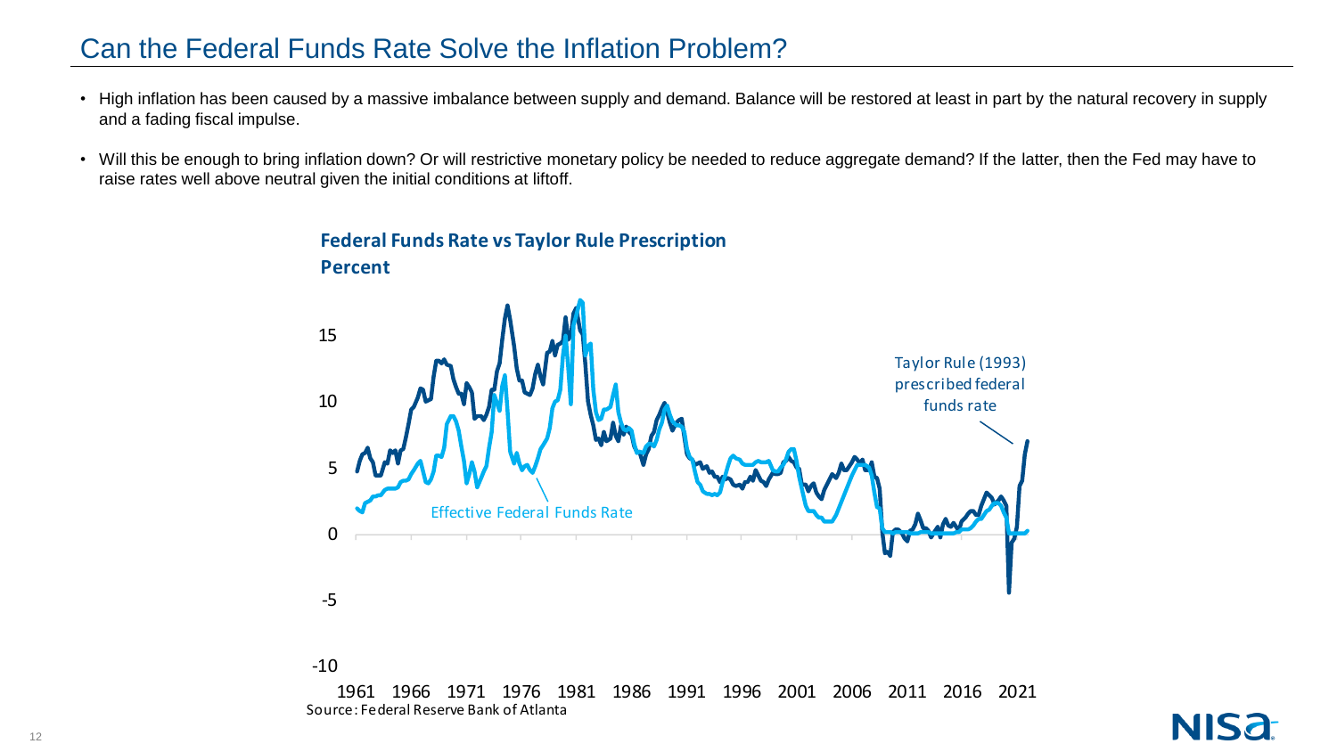## Can the Federal Funds Rate Solve the Inflation Problem?

- High inflation has been caused by a massive imbalance between supply and demand. Balance will be restored at least in part by the natural recovery in supply and a fading fiscal impulse.
- Will this be enough to bring inflation down? Or will restrictive monetary policy be needed to reduce aggregate demand? If the latter, then the Fed may have to raise rates well above neutral given the initial conditions at liftoff.



#### **Federal Funds Rate vs Taylor Rule Prescription**

#### -10

1961 1966 1971 1976 1981 1986 1991 1996 2001 2006 2011 2016 2021 Source: Federal Reserve Bank of Atlanta

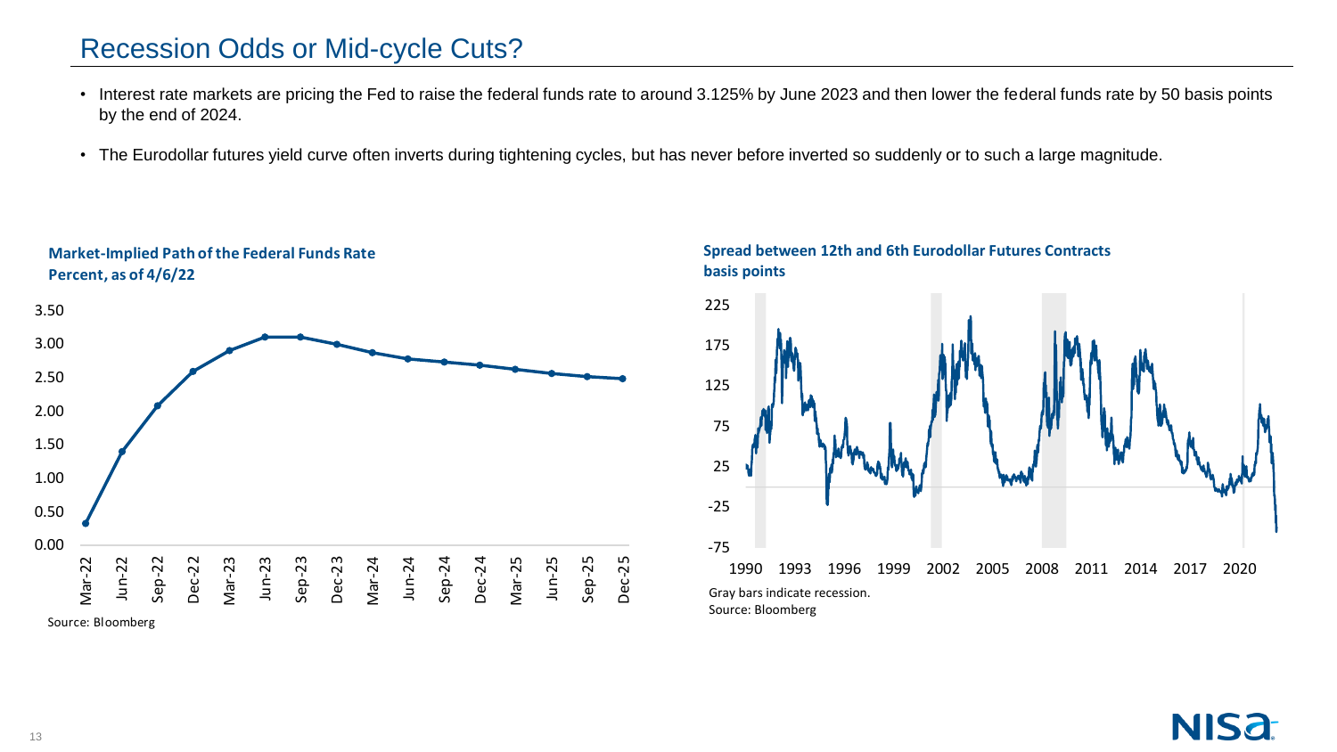### Recession Odds or Mid-cycle Cuts?

**Market-Implied Path of the Federal Funds Rate**

- Interest rate markets are pricing the Fed to raise the federal funds rate to around 3.125% by June 2023 and then lower the federal funds rate by 50 basis points by the end of 2024.
- The Eurodollar futures yield curve often inverts during tightening cycles, but has never before inverted so suddenly or to such a large magnitude.



#### **Spread between 12th and 6th Eurodollar Futures Contracts basis points**